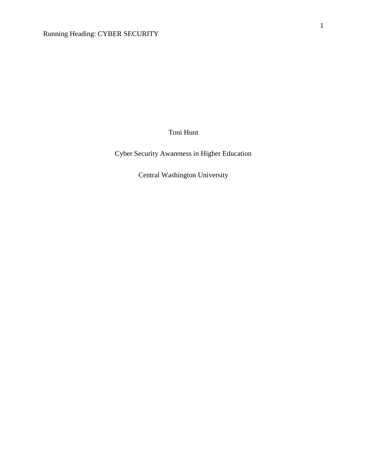Toni Hunt

Cyber Security Awareness in Higher Education

Central Washington University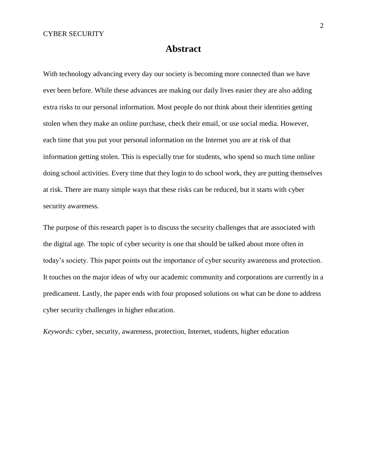# **Abstract**

With technology advancing every day our society is becoming more connected than we have ever been before. While these advances are making our daily lives easier they are also adding extra risks to our personal information. Most people do not think about their identities getting stolen when they make an online purchase, check their email, or use social media. However, each time that you put your personal information on the Internet you are at risk of that information getting stolen. This is especially true for students, who spend so much time online doing school activities. Every time that they login to do school work, they are putting themselves at risk. There are many simple ways that these risks can be reduced, but it starts with cyber security awareness.

The purpose of this research paper is to discuss the security challenges that are associated with the digital age. The topic of cyber security is one that should be talked about more often in today's society. This paper points out the importance of cyber security awareness and protection. It touches on the major ideas of why our academic community and corporations are currently in a predicament. Lastly, the paper ends with four proposed solutions on what can be done to address cyber security challenges in higher education.

*Keywords:* cyber, security, awareness, protection, Internet, students, higher education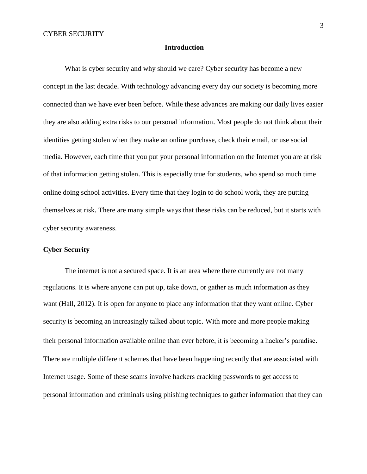#### **Introduction**

What is cyber security and why should we care? Cyber security has become a new concept in the last decade. With technology advancing every day our society is becoming more connected than we have ever been before. While these advances are making our daily lives easier they are also adding extra risks to our personal information. Most people do not think about their identities getting stolen when they make an online purchase, check their email, or use social media. However, each time that you put your personal information on the Internet you are at risk of that information getting stolen. This is especially true for students, who spend so much time online doing school activities. Every time that they login to do school work, they are putting themselves at risk. There are many simple ways that these risks can be reduced, but it starts with cyber security awareness.

#### **Cyber Security**

The internet is not a secured space. It is an area where there currently are not many regulations. It is where anyone can put up, take down, or gather as much information as they want (Hall, 2012). It is open for anyone to place any information that they want online. Cyber security is becoming an increasingly talked about topic. With more and more people making their personal information available online than ever before, it is becoming a hacker's paradise. There are multiple different schemes that have been happening recently that are associated with Internet usage. Some of these scams involve hackers cracking passwords to get access to personal information and criminals using phishing techniques to gather information that they can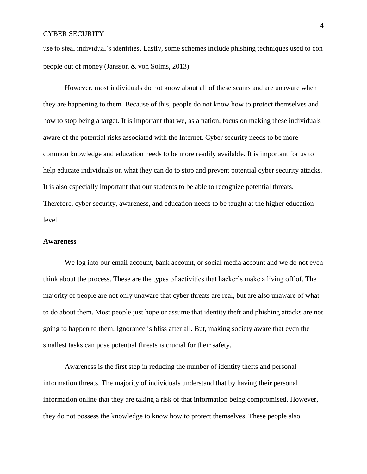use to steal individual's identities. Lastly, some schemes include phishing techniques used to con people out of money (Jansson & von Solms, 2013).

However, most individuals do not know about all of these scams and are unaware when they are happening to them. Because of this, people do not know how to protect themselves and how to stop being a target. It is important that we, as a nation, focus on making these individuals aware of the potential risks associated with the Internet. Cyber security needs to be more common knowledge and education needs to be more readily available. It is important for us to help educate individuals on what they can do to stop and prevent potential cyber security attacks. It is also especially important that our students to be able to recognize potential threats. Therefore, cyber security, awareness, and education needs to be taught at the higher education level.

#### **Awareness**

We log into our email account, bank account, or social media account and we do not even think about the process. These are the types of activities that hacker's make a living off of. The majority of people are not only unaware that cyber threats are real, but are also unaware of what to do about them. Most people just hope or assume that identity theft and phishing attacks are not going to happen to them. Ignorance is bliss after all. But, making society aware that even the smallest tasks can pose potential threats is crucial for their safety.

Awareness is the first step in reducing the number of identity thefts and personal information threats. The majority of individuals understand that by having their personal information online that they are taking a risk of that information being compromised. However, they do not possess the knowledge to know how to protect themselves. These people also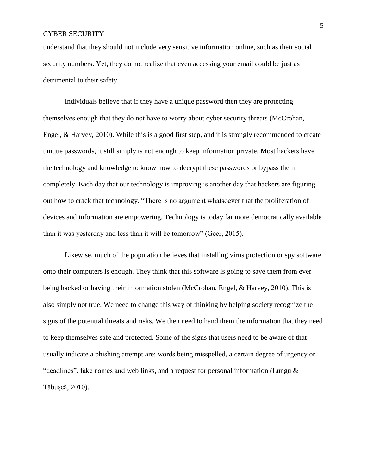understand that they should not include very sensitive information online, such as their social security numbers. Yet, they do not realize that even accessing your email could be just as detrimental to their safety.

Individuals believe that if they have a unique password then they are protecting themselves enough that they do not have to worry about cyber security threats (McCrohan, Engel, & Harvey, 2010). While this is a good first step, and it is strongly recommended to create unique passwords, it still simply is not enough to keep information private. Most hackers have the technology and knowledge to know how to decrypt these passwords or bypass them completely. Each day that our technology is improving is another day that hackers are figuring out how to crack that technology. "There is no argument whatsoever that the proliferation of devices and information are empowering. Technology is today far more democratically available than it was yesterday and less than it will be tomorrow" (Geer, 2015).

Likewise, much of the population believes that installing virus protection or spy software onto their computers is enough. They think that this software is going to save them from ever being hacked or having their information stolen (McCrohan, Engel, & Harvey, 2010). This is also simply not true. We need to change this way of thinking by helping society recognize the signs of the potential threats and risks. We then need to hand them the information that they need to keep themselves safe and protected. Some of the signs that users need to be aware of that usually indicate a phishing attempt are: words being misspelled, a certain degree of urgency or "deadlines", fake names and web links, and a request for personal information (Lungu & Tӑbuşcӑ, 2010).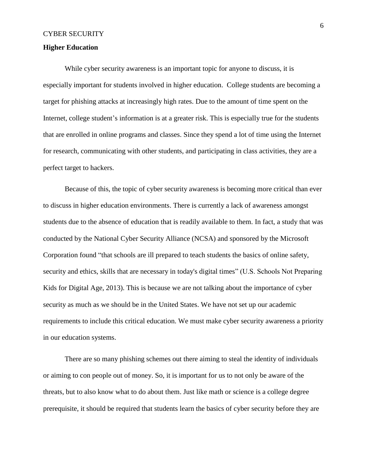#### **Higher Education**

While cyber security awareness is an important topic for anyone to discuss, it is especially important for students involved in higher education. College students are becoming a target for phishing attacks at increasingly high rates. Due to the amount of time spent on the Internet, college student's information is at a greater risk. This is especially true for the students that are enrolled in online programs and classes. Since they spend a lot of time using the Internet for research, communicating with other students, and participating in class activities, they are a perfect target to hackers.

Because of this, the topic of cyber security awareness is becoming more critical than ever to discuss in higher education environments. There is currently a lack of awareness amongst students due to the absence of education that is readily available to them. In fact, a study that was conducted by the National Cyber Security Alliance (NCSA) and sponsored by the Microsoft Corporation found "that schools are ill prepared to teach students the basics of online safety, security and ethics, skills that are necessary in today's digital times" (U.S. Schools Not Preparing Kids for Digital Age, 2013). This is because we are not talking about the importance of cyber security as much as we should be in the United States. We have not set up our academic requirements to include this critical education. We must make cyber security awareness a priority in our education systems.

There are so many phishing schemes out there aiming to steal the identity of individuals or aiming to con people out of money. So, it is important for us to not only be aware of the threats, but to also know what to do about them. Just like math or science is a college degree prerequisite, it should be required that students learn the basics of cyber security before they are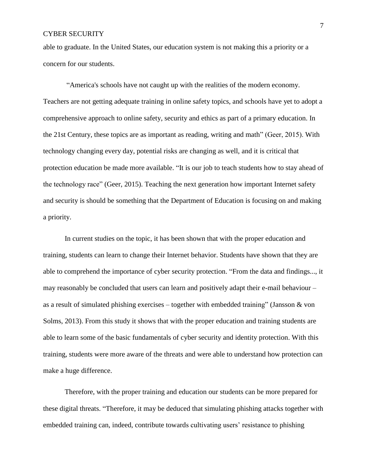able to graduate. In the United States, our education system is not making this a priority or a concern for our students.

"America's schools have not caught up with the realities of the modern economy. Teachers are not getting adequate training in online safety topics, and schools have yet to adopt a comprehensive approach to online safety, security and ethics as part of a primary education. In the 21st Century, these topics are as important as reading, writing and math" (Geer, 2015). With technology changing every day, potential risks are changing as well, and it is critical that protection education be made more available. "It is our job to teach students how to stay ahead of the technology race" (Geer, 2015). Teaching the next generation how important Internet safety and security is should be something that the Department of Education is focusing on and making a priority.

In current studies on the topic, it has been shown that with the proper education and training, students can learn to change their Internet behavior. Students have shown that they are able to comprehend the importance of cyber security protection. "From the data and findings..., it may reasonably be concluded that users can learn and positively adapt their e-mail behaviour – as a result of simulated phishing exercises – together with embedded training" (Jansson  $\&$  von Solms, 2013). From this study it shows that with the proper education and training students are able to learn some of the basic fundamentals of cyber security and identity protection. With this training, students were more aware of the threats and were able to understand how protection can make a huge difference.

Therefore, with the proper training and education our students can be more prepared for these digital threats. "Therefore, it may be deduced that simulating phishing attacks together with embedded training can, indeed, contribute towards cultivating users' resistance to phishing

7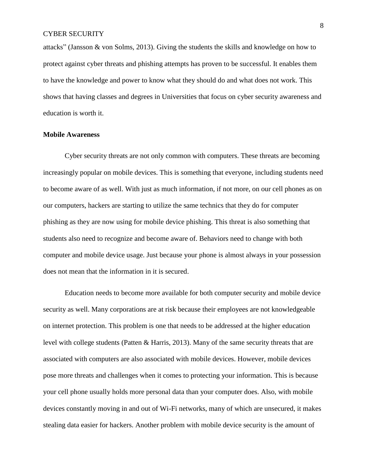attacks" (Jansson & von Solms, 2013). Giving the students the skills and knowledge on how to protect against cyber threats and phishing attempts has proven to be successful. It enables them to have the knowledge and power to know what they should do and what does not work. This shows that having classes and degrees in Universities that focus on cyber security awareness and education is worth it.

#### **Mobile Awareness**

Cyber security threats are not only common with computers. These threats are becoming increasingly popular on mobile devices. This is something that everyone, including students need to become aware of as well. With just as much information, if not more, on our cell phones as on our computers, hackers are starting to utilize the same technics that they do for computer phishing as they are now using for mobile device phishing. This threat is also something that students also need to recognize and become aware of. Behaviors need to change with both computer and mobile device usage. Just because your phone is almost always in your possession does not mean that the information in it is secured.

Education needs to become more available for both computer security and mobile device security as well. Many corporations are at risk because their employees are not knowledgeable on internet protection. This problem is one that needs to be addressed at the higher education level with college students (Patten & Harris, 2013). Many of the same security threats that are associated with computers are also associated with mobile devices. However, mobile devices pose more threats and challenges when it comes to protecting your information. This is because your cell phone usually holds more personal data than your computer does. Also, with mobile devices constantly moving in and out of Wi-Fi networks, many of which are unsecured, it makes stealing data easier for hackers. Another problem with mobile device security is the amount of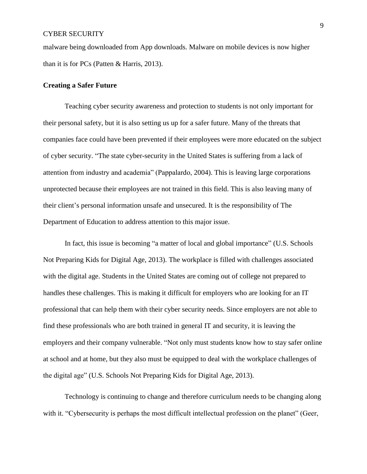malware being downloaded from App downloads. Malware on mobile devices is now higher than it is for PCs (Patten & Harris, 2013).

#### **Creating a Safer Future**

Teaching cyber security awareness and protection to students is not only important for their personal safety, but it is also setting us up for a safer future. Many of the threats that companies face could have been prevented if their employees were more educated on the subject of cyber security. "The state cyber-security in the United States is suffering from a lack of attention from industry and academia" (Pappalardo, 2004). This is leaving large corporations unprotected because their employees are not trained in this field. This is also leaving many of their client's personal information unsafe and unsecured. It is the responsibility of The Department of Education to address attention to this major issue.

In fact, this issue is becoming "a matter of local and global importance" (U.S. Schools Not Preparing Kids for Digital Age, 2013). The workplace is filled with challenges associated with the digital age. Students in the United States are coming out of college not prepared to handles these challenges. This is making it difficult for employers who are looking for an IT professional that can help them with their cyber security needs. Since employers are not able to find these professionals who are both trained in general IT and security, it is leaving the employers and their company vulnerable. "Not only must students know how to stay safer online at school and at home, but they also must be equipped to deal with the workplace challenges of the digital age" (U.S. Schools Not Preparing Kids for Digital Age, 2013).

Technology is continuing to change and therefore curriculum needs to be changing along with it. "Cybersecurity is perhaps the most difficult intellectual profession on the planet" (Geer,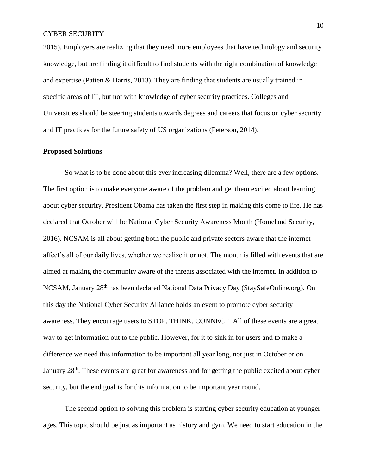2015). Employers are realizing that they need more employees that have technology and security knowledge, but are finding it difficult to find students with the right combination of knowledge and expertise (Patten & Harris, 2013). They are finding that students are usually trained in specific areas of IT, but not with knowledge of cyber security practices. Colleges and Universities should be steering students towards degrees and careers that focus on cyber security and IT practices for the future safety of US organizations (Peterson, 2014).

#### **Proposed Solutions**

So what is to be done about this ever increasing dilemma? Well, there are a few options. The first option is to make everyone aware of the problem and get them excited about learning about cyber security. President Obama has taken the first step in making this come to life. He has declared that October will be National Cyber Security Awareness Month (Homeland Security, 2016). NCSAM is all about getting both the public and private sectors aware that the internet affect's all of our daily lives, whether we realize it or not. The month is filled with events that are aimed at making the community aware of the threats associated with the internet. In addition to NCSAM, January 28th has been declared National Data Privacy Day (StaySafeOnline.org). On this day the National Cyber Security Alliance holds an event to promote cyber security awareness. They encourage users to STOP. THINK. CONNECT. All of these events are a great way to get information out to the public. However, for it to sink in for users and to make a difference we need this information to be important all year long, not just in October or on January 28<sup>th</sup>. These events are great for awareness and for getting the public excited about cyber security, but the end goal is for this information to be important year round.

The second option to solving this problem is starting cyber security education at younger ages. This topic should be just as important as history and gym. We need to start education in the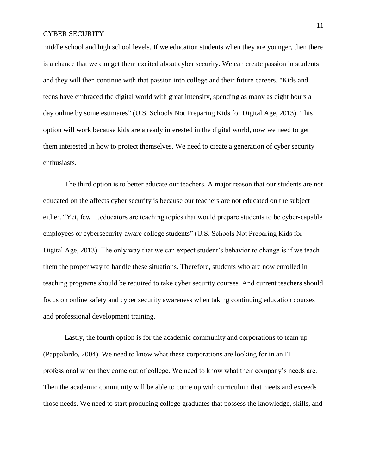middle school and high school levels. If we education students when they are younger, then there is a chance that we can get them excited about cyber security. We can create passion in students and they will then continue with that passion into college and their future careers. "Kids and teens have embraced the digital world with great intensity, spending as many as eight hours a day online by some estimates" (U.S. Schools Not Preparing Kids for Digital Age, 2013). This option will work because kids are already interested in the digital world, now we need to get them interested in how to protect themselves. We need to create a generation of cyber security enthusiasts.

The third option is to better educate our teachers. A major reason that our students are not educated on the affects cyber security is because our teachers are not educated on the subject either. "Yet, few …educators are teaching topics that would prepare students to be cyber-capable employees or cybersecurity-aware college students" (U.S. Schools Not Preparing Kids for Digital Age, 2013). The only way that we can expect student's behavior to change is if we teach them the proper way to handle these situations. Therefore, students who are now enrolled in teaching programs should be required to take cyber security courses. And current teachers should focus on online safety and cyber security awareness when taking continuing education courses and professional development training.

Lastly, the fourth option is for the academic community and corporations to team up (Pappalardo, 2004). We need to know what these corporations are looking for in an IT professional when they come out of college. We need to know what their company's needs are. Then the academic community will be able to come up with curriculum that meets and exceeds those needs. We need to start producing college graduates that possess the knowledge, skills, and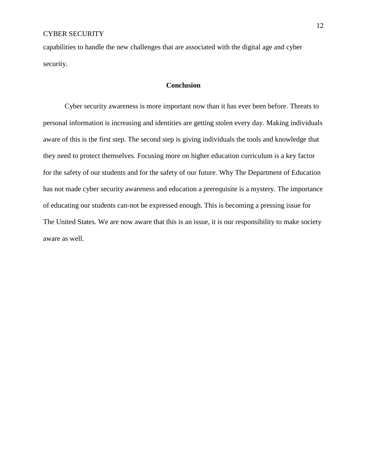capabilities to handle the new challenges that are associated with the digital age and cyber security.

## **Conclusion**

Cyber security awareness is more important now than it has ever been before. Threats to personal information is increasing and identities are getting stolen every day. Making individuals aware of this is the first step. The second step is giving individuals the tools and knowledge that they need to protect themselves. Focusing more on higher education curriculum is a key factor for the safety of our students and for the safety of our future. Why The Department of Education has not made cyber security awareness and education a prerequisite is a mystery. The importance of educating our students can-not be expressed enough. This is becoming a pressing issue for The United States. We are now aware that this is an issue, it is our responsibility to make society aware as well.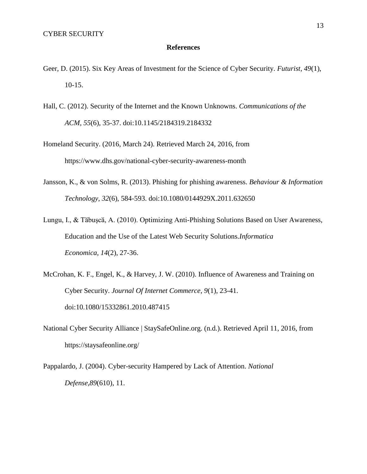#### **References**

- Geer, D. (2015). Six Key Areas of Investment for the Science of Cyber Security. *Futurist*, *49*(1), 10-15.
- Hall, C. (2012). Security of the Internet and the Known Unknowns. *Communications of the ACM*, *55*(6), 35-37. doi:10.1145/2184319.2184332
- Homeland Security. (2016, March 24). Retrieved March 24, 2016, from https://www.dhs.gov/national-cyber-security-awareness-month
- Jansson, K., & von Solms, R. (2013). Phishing for phishing awareness. *Behaviour & Information Technology*, *32*(6), 584-593. doi:10.1080/0144929X.2011.632650
- Lungu, I., & Tӑbuşcӑ, A. (2010). Optimizing Anti-Phishing Solutions Based on User Awareness, Education and the Use of the Latest Web Security Solutions.*Informatica Economica*, *14*(2), 27-36.
- McCrohan, K. F., Engel, K., & Harvey, J. W. (2010). Influence of Awareness and Training on Cyber Security. *Journal Of Internet Commerce*, *9*(1), 23-41. doi:10.1080/15332861.2010.487415
- National Cyber Security Alliance | StaySafeOnline.org. (n.d.). Retrieved April 11, 2016, from https://staysafeonline.org/
- Pappalardo, J. (2004). Cyber-security Hampered by Lack of Attention. *National Defense*,*89*(610), 11.